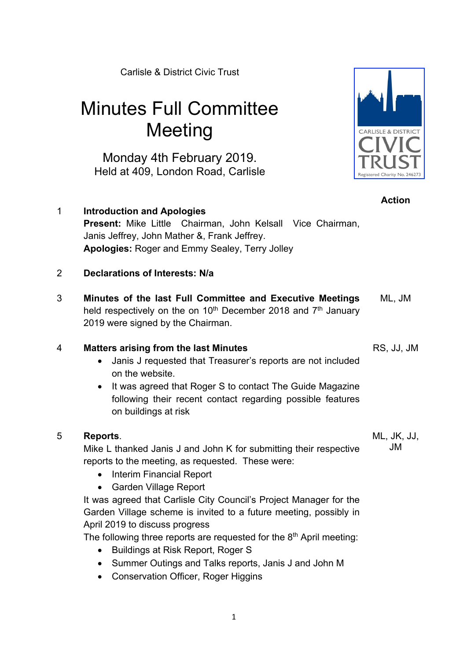Carlisle & District Civic Trust

# Minutes Full Committee **Meeting**

Monday 4th February 2019. Held at 409, London Road, Carlisle

1 **Introduction and Apologies Present:** Mike Little Chairman, John Kelsall Vice Chairman, Janis Jeffrey, John Mather &, Frank Jeffrey. **Apologies:** Roger and Emmy Sealey, Terry Jolley

## 2 **Declarations of Interests: N/a**

3 **Minutes of the last Full Committee and Executive Meetings** held respectively on the on  $10<sup>th</sup>$  December 2018 and  $7<sup>th</sup>$  January 2019 were signed by the Chairman. ML, JM

## 4 **Matters arising from the last Minutes**

- Janis J requested that Treasurer's reports are not included on the website.
- It was agreed that Roger S to contact The Guide Magazine following their recent contact regarding possible features on buildings at risk

## 5 **Reports**.

Mike L thanked Janis J and John K for submitting their respective reports to the meeting, as requested. These were:

- Interim Financial Report
- Garden Village Report

It was agreed that Carlisle City Council's Project Manager for the Garden Village scheme is invited to a future meeting, possibly in April 2019 to discuss progress

The following three reports are requested for the  $8<sup>th</sup>$  April meeting:

- Buildings at Risk Report, Roger S
- Summer Outings and Talks reports, Janis J and John M
- Conservation Officer, Roger Higgins

RS, JJ, JM



**Action**

ML, JK, JJ, JM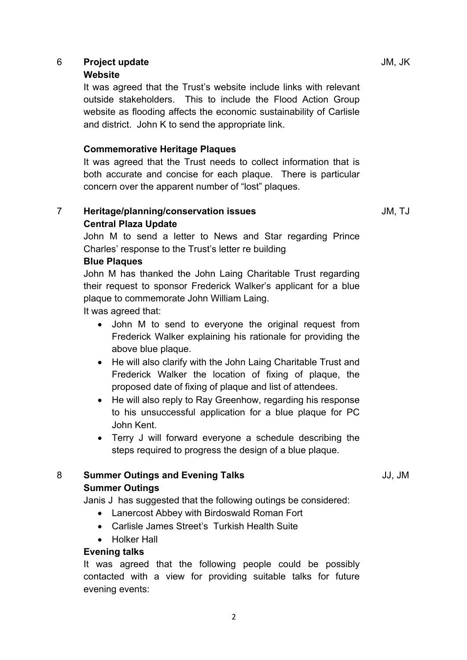## 6 **Project update** JM, JK

#### **Website**

It was agreed that the Trust's website include links with relevant outside stakeholders. This to include the Flood Action Group website as flooding affects the economic sustainability of Carlisle and district. John K to send the appropriate link.

## **Commemorative Heritage Plaques**

It was agreed that the Trust needs to collect information that is both accurate and concise for each plaque. There is particular concern over the apparent number of "lost" plaques.

## 7 **Heritage/planning/conservation issues Central Plaza Update**

John M to send a letter to News and Star regarding Prince Charles' response to the Trust's letter re building

## **Blue Plaques**

John M has thanked the John Laing Charitable Trust regarding their request to sponsor Frederick Walker's applicant for a blue plaque to commemorate John William Laing.

It was agreed that:

- John M to send to everyone the original request from Frederick Walker explaining his rationale for providing the above blue plaque.
- He will also clarify with the John Laing Charitable Trust and Frederick Walker the location of fixing of plaque, the proposed date of fixing of plaque and list of attendees.
- He will also reply to Ray Greenhow, regarding his response to his unsuccessful application for a blue plaque for PC John Kent.
- Terry J will forward everyone a schedule describing the steps required to progress the design of a blue plaque.

## 8 **Summer Outings and Evening Talks Summer Outings**

Janis J has suggested that the following outings be considered:

- Lanercost Abbey with Birdoswald Roman Fort
- Carlisle James Street's Turkish Health Suite
- Holker Hall

## **Evening talks**

It was agreed that the following people could be possibly contacted with a view for providing suitable talks for future evening events:

JM, TJ